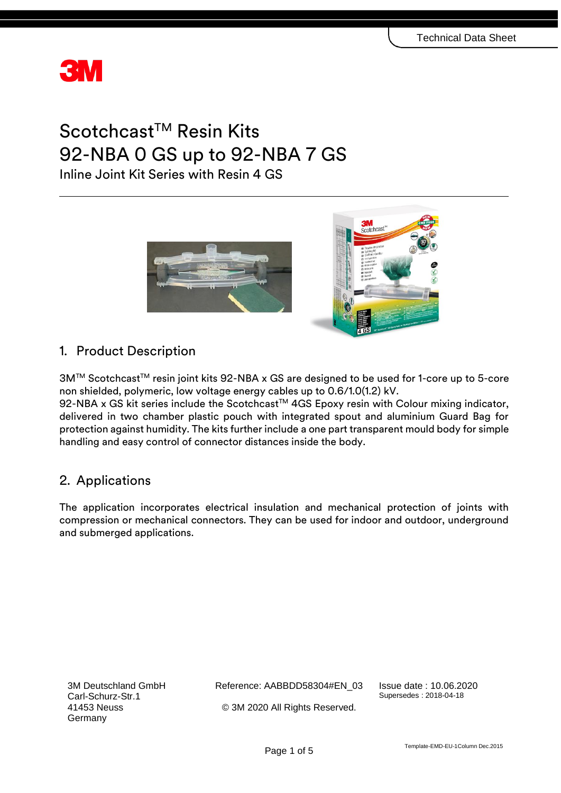

# Scotchcast™ Resin Kits 92-NBA 0 GS up to 92-NBA 7 GS

Inline Joint Kit Series with Resin 4 GS



# 1. Product Description

3M™ Scotchcast™ resin joint kits 92-NBA x GS are designed to be used for 1-core up to 5-core non shielded, polymeric, low voltage energy cables up to 0.6/1.0(1.2) kV.

92-NBA x GS kit series include the Scotchcast™ 4GS Epoxy resin with Colour mixing indicator, delivered in two chamber plastic pouch with integrated spout and aluminium Guard Bag for protection against humidity. The kits further include a one part transparent mould body for simple handling and easy control of connector distances inside the body.

# 2. Applications

The application incorporates electrical insulation and mechanical protection of joints with compression or mechanical connectors. They can be used for indoor and outdoor, underground and submerged applications.

3M Deutschland GmbH Carl-Schurz-Str.1 41453 Neuss Germany

Reference: AABBDD58304#EN\_03 © 3M 2020 All Rights Reserved.

Issue date : 10.06.2020 Supersedes : 2018-04-18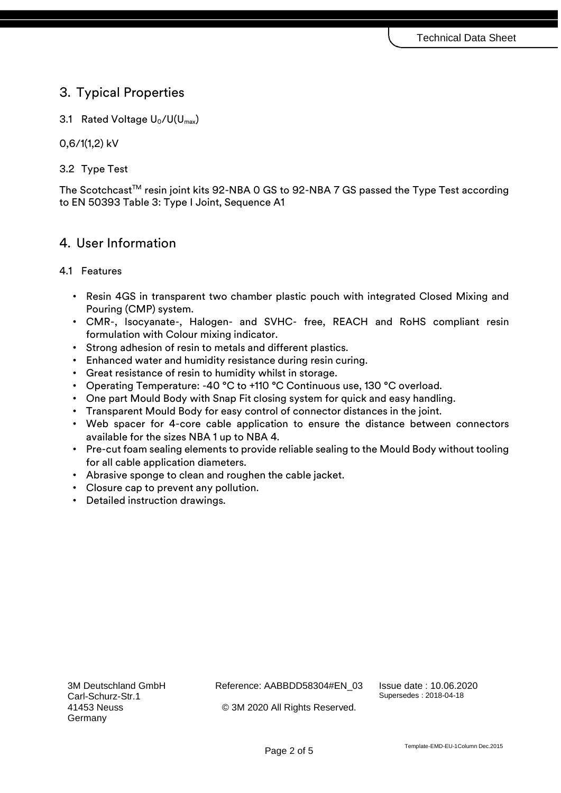## 3. Typical Properties

3.1 Rated Voltage  $U_0/U(U_{max})$ 

0,6/1(1,2) kV

## 3.2 Type Test

The Scotchcast™ resin joint kits 92-NBA 0 GS to 92-NBA 7 GS passed the Type Test according to EN 50393 Table 3: Type I Joint, Sequence A1

## 4. User Information

### 4.1 Features

- Resin 4GS in transparent two chamber plastic pouch with integrated Closed Mixing and Pouring (CMP) system.
- CMR-, Isocyanate-, Halogen- and SVHC- free, REACH and RoHS compliant resin formulation with Colour mixing indicator.
- Strong adhesion of resin to metals and different plastics.
- Enhanced water and humidity resistance during resin curing.
- Great resistance of resin to humidity whilst in storage.
- Operating Temperature: -40 °C to +110 °C Continuous use, 130 °C overload.
- One part Mould Body with Snap Fit closing system for quick and easy handling.
- Transparent Mould Body for easy control of connector distances in the joint.
- Web spacer for 4-core cable application to ensure the distance between connectors available for the sizes NBA 1 up to NBA 4.
- Pre-cut foam sealing elements to provide reliable sealing to the Mould Body without tooling for all cable application diameters.
- Abrasive sponge to clean and roughen the cable jacket.
- Closure cap to prevent any pollution.
- Detailed instruction drawings.

Reference: AABBDD58304#EN\_03

Issue date : 10.06.2020 Supersedes : 2018-04-18

© 3M 2020 All Rights Reserved.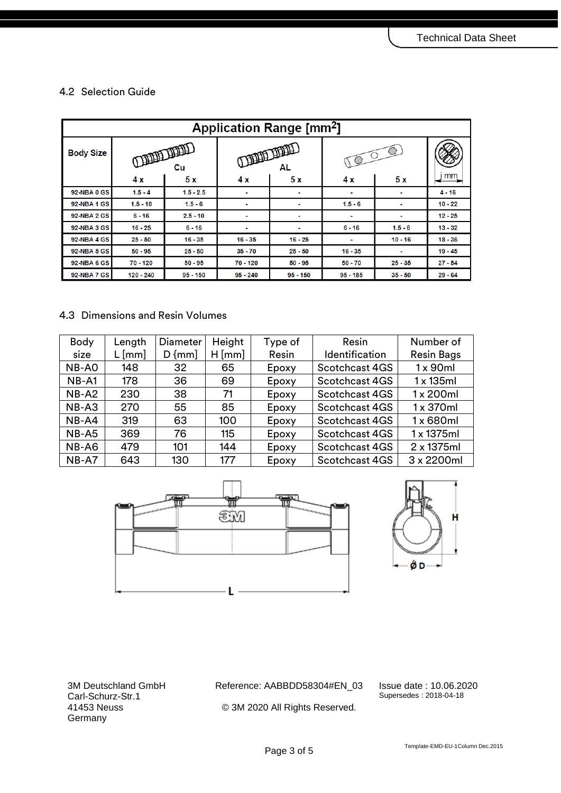## 4.2 Selection Guide

| <b>Application Range [mm<sup>2</sup>]</b> |                              |             |                          |            |                  |                |           |  |  |  |
|-------------------------------------------|------------------------------|-------------|--------------------------|------------|------------------|----------------|-----------|--|--|--|
| <b>Body Size</b>                          | <b>OFFICIAL LITTLE</b><br>Cu |             | <b>THE HEADER</b><br>AL. |            | $\sigma^{\circ}$ |                |           |  |  |  |
|                                           | 4x                           | 5x          | 4x                       | 5x         | 4x               | 5x             | mm        |  |  |  |
| <b>92-NBA0 GS</b>                         | $1.5 - 4$                    | $1.5 - 2.5$ | ٠                        | ٠          | ٠                |                | $4 - 16$  |  |  |  |
| <b>92-NBA1 GS</b>                         | $1.5 - 10$                   | $1.5 - 6$   | ٠                        | ٠          | $1.5 - 6$        | ٠              | $10 - 22$ |  |  |  |
| <b>92-NBA 2 GS</b>                        | $6 - 16$                     | $2.5 - 10$  | ۰                        | $\sim$     | $\blacksquare$   | $\blacksquare$ | $12 - 25$ |  |  |  |
| <b>92-NBA 3 GS</b>                        | $16 - 25$                    | $6 - 16$    |                          | ۰          | $6 - 16$         | $1.5 - 6$      | $13 - 32$ |  |  |  |
| <b>92-NBA 4 GS</b>                        | $25 - 50$                    | $16 - 35$   | $16 - 35$                | $16 - 25$  | ٠                | $10 - 16$      | $18 - 36$ |  |  |  |
| <b>92-NBA 5 GS</b>                        | $50 - 95$                    | $25 - 50$   | $35 - 70$                | $25 - 50$  | $16 - 35$        | ٠              | $19 - 45$ |  |  |  |
| <b>92-NBA6GS</b>                          | $70 - 120$                   | $50 - 95$   | $70 - 120$               | $50 - 95$  | $50 - 70$        | $25 - 35$      | $27 - 54$ |  |  |  |
| <b>92-NBA7 GS</b>                         | 120 - 240                    | $95 - 150$  | $95 - 240$               | $95 - 150$ | $95 - 185$       | $35 - 50$      | $29 - 64$ |  |  |  |

### 4.3 Dimensions and Resin Volumes

| <b>Body</b> | Length   | Diameter   | Height   | Type of | Resin          | Number of         |
|-------------|----------|------------|----------|---------|----------------|-------------------|
| size        | $L$ [mm] | $D \{mm\}$ | $H$ [mm] | Resin   | Identification | <b>Resin Bags</b> |
| NB-AO       | 148      | 32         | 65       | Epoxy   | Scotchcast 4GS | $1 \times 90$ ml  |
| $NB-1$      | 178      | 36         | 69       | Epoxy   | Scotchcast 4GS | $1 \times 135$ ml |
| $NB- A2$    | 230      | 38         | 71       | Epoxy   | Scotchcast 4GS | $1 \times 200$ ml |
| $NB-AS$     | 270      | 55         | 85       | Epoxy   | Scotchcast 4GS | $1 \times 370$ ml |
| NB-A4       | 319      | 63         | 100      | Epoxy   | Scotchcast 4GS | 1 x 680ml         |
| NB-A5       | 369      | 76         | 115      | Epoxy   | Scotchcast 4GS | 1 x 1375ml        |
| NB-A6       | 479      | 101        | 144      | Epoxy   | Scotchcast 4GS | 2 x 1375ml        |
| NB-A7       | 643      | 130        | 177      | Epoxy   | Scotchcast 4GS | 3 x 2200ml        |





3M Deutschland GmbH Carl-Schurz-Str.1 41453 Neuss **Germany** 

Reference: AABBDD58304#EN\_03 © 3M 2020 All Rights Reserved.

Issue date : 10.06.2020 Supersedes : 2018-04-18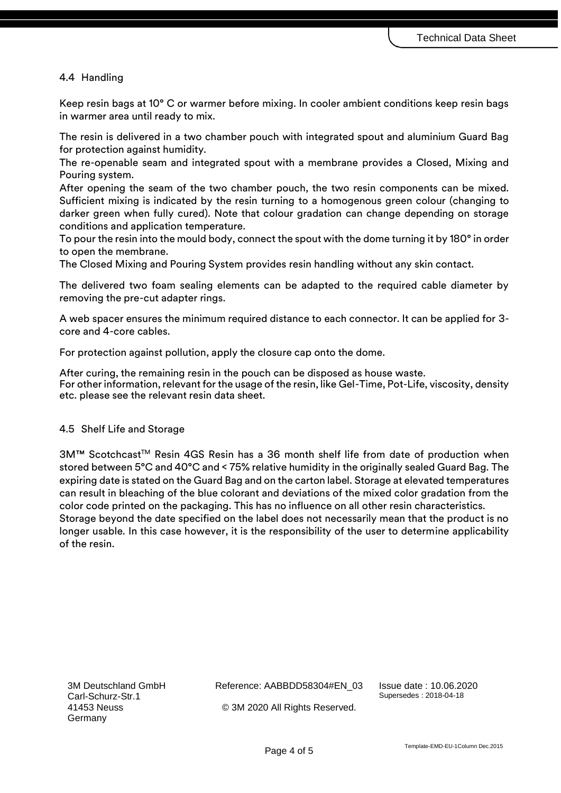#### 4.4 Handling

Keep resin bags at 10° C or warmer before mixing. In cooler ambient conditions keep resin bags in warmer area until ready to mix.

The resin is delivered in a two chamber pouch with integrated spout and aluminium Guard Bag for protection against humidity.

The re-openable seam and integrated spout with a membrane provides a Closed, Mixing and Pouring system.

After opening the seam of the two chamber pouch, the two resin components can be mixed. Sufficient mixing is indicated by the resin turning to a homogenous green colour (changing to darker green when fully cured). Note that colour gradation can change depending on storage conditions and application temperature.

To pour the resin into the mould body, connect the spout with the dome turning it by 180° in order to open the membrane.

The Closed Mixing and Pouring System provides resin handling without any skin contact.

The delivered two foam sealing elements can be adapted to the required cable diameter by removing the pre-cut adapter rings.

A web spacer ensures the minimum required distance to each connector. It can be applied for 3 core and 4-core cables.

For protection against pollution, apply the closure cap onto the dome.

After curing, the remaining resin in the pouch can be disposed as house waste. For other information, relevant for the usage of the resin, like Gel-Time, Pot-Life, viscosity, density etc. please see the relevant resin data sheet.

#### 4.5 Shelf Life and Storage

3M™ Scotchcast™ Resin 4GS Resin has a 36 month shelf life from date of production when stored between 5°C and 40°C and < 75% relative humidity in the originally sealed Guard Bag. The expiring date is stated on the Guard Bag and on the carton label. Storage at elevated temperatures can result in bleaching of the blue colorant and deviations of the mixed color gradation from the color code printed on the packaging. This has no influence on all other resin characteristics. Storage beyond the date specified on the label does not necessarily mean that the product is no longer usable. In this case however, it is the responsibility of the user to determine applicability of the resin.

3M Deutschland GmbH Carl-Schurz-Str.1 41453 Neuss Germany

Reference: AABBDD58304#EN\_03

Issue date : 10.06.2020 Supersedes : 2018-04-18

© 3M 2020 All Rights Reserved.